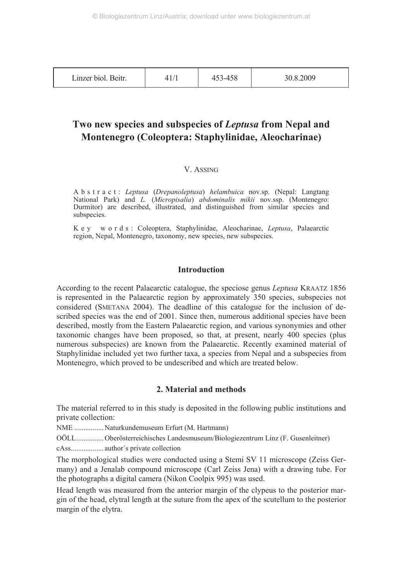| Linzer biol. Beitr. |  | `–⊥<br>+20<br>τυυ | 30.8.2009 |
|---------------------|--|-------------------|-----------|
|---------------------|--|-------------------|-----------|

# **Two new species and subspecies of** *Leptusa* **from Nepal and Montenegro (Coleoptera: Staphylinidae, Aleocharinae)**

#### V. ASSING

A b s t r a c t : *Leptusa* (*Drepanoleptusa*) *helambuica* nov.sp. (Nepal: Langtang National Park) and *L.* (*Micropisalia*) *abdominalis mikii* nov.ssp. (Montenegro: Durmitor) are described, illustrated, and distinguished from similar species and subspecies.

K e y w o r d s : Coleoptera, Staphylinidae, Aleocharinae, *Leptusa*, Palaearctic region, Nepal, Montenegro, taxonomy, new species, new subspecies.

# **Introduction**

According to the recent Palaearctic catalogue, the speciose genus *Leptusa* KRAATZ 1856 is represented in the Palaearctic region by approximately 350 species, subspecies not considered (SMETANA 2004). The deadline of this catalogue for the inclusion of described species was the end of 2001. Since then, numerous additional species have been described, mostly from the Eastern Palaearctic region, and various synonymies and other taxonomic changes have been proposed, so that, at present, nearly 400 species (plus numerous subspecies) are known from the Palaearctic. Recently examined material of Staphylinidae included yet two further taxa, a species from Nepal and a subspecies from Montenegro, which proved to be undescribed and which are treated below.

# **2. Material and methods**

The material referred to in this study is deposited in the following public institutions and private collection:

NME ................ Naturkundemuseum Erfurt (M. Hartmann)

OÖLL............... Oberösterreichisches Landesmuseum/Biologiezentrum Linz (F. Gusenleitner)

cAss.................. author´s private collection

The morphological studies were conducted using a Stemi SV 11 microscope (Zeiss Germany) and a Jenalab compound microscope (Carl Zeiss Jena) with a drawing tube. For the photographs a digital camera (Nikon Coolpix 995) was used.

Head length was measured from the anterior margin of the clypeus to the posterior margin of the head, elytral length at the suture from the apex of the scutellum to the posterior margin of the elytra.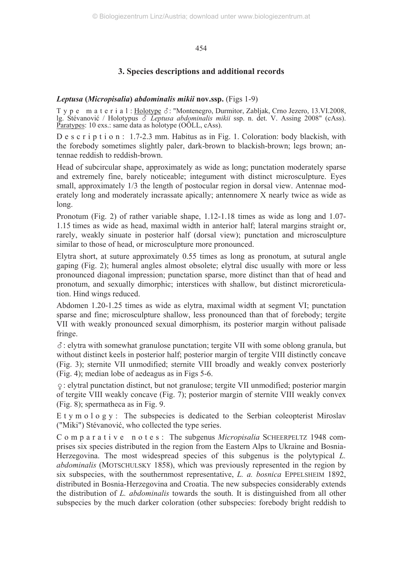# **3. Species descriptions and additional records**

# *Leptusa* **(***Micropisalia***)** *abdominalis mikii* **nov.ssp.** (Figs 1-9)

T y p e m a t e r i a l : Holotype  $\delta$ : "Montenegro, Durmitor, Zabljak, Crno Jezero, 13.VI.2008, lg. Stévanović / Holotypus *Leptusa abdominalis mikii* ssp. n. det. V. Assing 2008" (cAss). Paratypes: 10 exs.: same data as holotype (OOLL, cAss).

D e s c r i p t i o n : 1.7-2.3 mm. Habitus as in Fig. 1. Coloration: body blackish, with the forebody sometimes slightly paler, dark-brown to blackish-brown; legs brown; antennae reddish to reddish-brown.

Head of subcircular shape, approximately as wide as long; punctation moderately sparse and extremely fine, barely noticeable; integument with distinct microsculpture. Eyes small, approximately  $1/3$  the length of postocular region in dorsal view. Antennae moderately long and moderately incrassate apically; antennomere X nearly twice as wide as long.

Pronotum (Fig. 2) of rather variable shape, 1.12-1.18 times as wide as long and 1.07- 1.15 times as wide as head, maximal width in anterior half; lateral margins straight or, rarely, weakly sinuate in posterior half (dorsal view); punctation and microsculpture similar to those of head, or microsculpture more pronounced.

Elytra short, at suture approximately 0.55 times as long as pronotum, at sutural angle gaping (Fig. 2); humeral angles almost obsolete; elytral disc usually with more or less pronounced diagonal impression; punctation sparse, more distinct than that of head and pronotum, and sexually dimorphic; interstices with shallow, but distinct microreticulation. Hind wings reduced.

Abdomen 1.20-1.25 times as wide as elytra, maximal width at segment VI; punctation sparse and fine; microsculpture shallow, less pronounced than that of forebody; tergite VII with weakly pronounced sexual dimorphism, its posterior margin without palisade fringe.

: elytra with somewhat granulose punctation; tergite VII with some oblong granula, but without distinct keels in posterior half; posterior margin of tergite VIII distinctly concave (Fig. 3); sternite VII unmodified; sternite VIII broadly and weakly convex posteriorly (Fig. 4); median lobe of aedeagus as in Figs 5-6.

-: elytral punctation distinct, but not granulose; tergite VII unmodified; posterior margin of tergite VIII weakly concave (Fig. 7); posterior margin of sternite VIII weakly convex (Fig. 8); spermatheca as in Fig. 9.

E t y m o  $\log y$  : The subspecies is dedicated to the Serbian coleopterist Miroslav ("Miki") Stévanović, who collected the type series.

C o m p a r a t i v e n o t e s : The subgenus *Micropisalia* SCHEERPELTZ 1948 comprises six species distributed in the region from the Eastern Alps to Ukraine and Bosnia-Herzegovina. The most widespread species of this subgenus is the polytypical *L. abdominalis* (MOTSCHULSKY 1858), which was previously represented in the region by six subspecies, with the southernmost representative, *L. a. bosnica* EPPELSHEIM 1892, distributed in Bosnia-Herzegovina and Croatia. The new subspecies considerably extends the distribution of *L. abdominalis* towards the south. It is distinguished from all other subspecies by the much darker coloration (other subspecies: forebody bright reddish to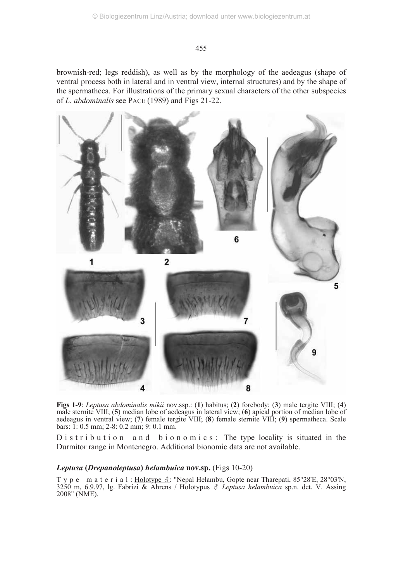brownish-red; legs reddish), as well as by the morphology of the aedeagus (shape of ventral process both in lateral and in ventral view, internal structures) and by the shape of the spermatheca. For illustrations of the primary sexual characters of the other subspecies of *L. abdominalis* see PACE (1989) and Figs 21-22.



**Figs 1-9**: *Leptusa abdominalis mikii* nov.ssp.: (**1**) habitus; (**2**) forebody; (**3**) male tergite VIII; (**4**) male sternite VIII; (**5**) median lobe of aedeagus in lateral view; (**6**) apical portion of median lobe of aedeagus in ventral view; (**7**) female tergite VIII; (**8**) female sternite VIII; (**9**) spermatheca. Scale bars: 1: 0.5 mm; 2-8: 0.2 mm; 9: 0.1 mm.

D is tribution and bionomics: The type locality is situated in the Durmitor range in Montenegro. Additional bionomic data are not available.

# *Leptusa* **(***Drepanoleptusa***)** *helambuica* **nov.sp.** (Figs 10-20)

T y p e m a t e r i a l : Holotype  $\delta$ : "Nepal Helambu, Gopte near Tharepati, 85°28'E, 28°03'N, 3250 m, 6.9.97, lg. Fabrizi & Ahrens / Holotypus *Leptusa helambuica* sp.n. det. V. Assing 2008" (NME).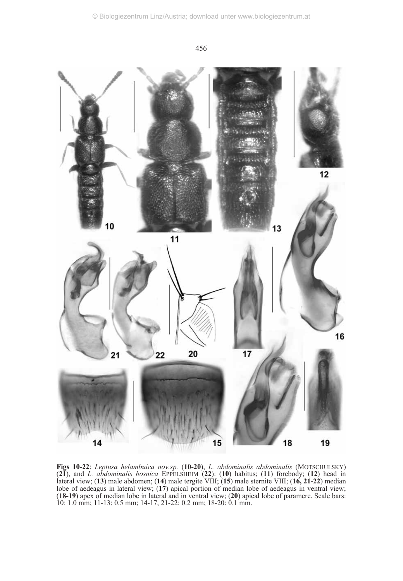

**Figs 10-22**: *Leptusa helambuica nov.sp.* (**10-20**), *L. abdominalis abdominalis* (MOTSCHULSKY) (**21**), and *L. abdominalis bosnica* EPPELSHEIM (**22**): (**10**) habitus; (**11**) forebody; (**12**) head in lateral view; (**13**) male abdomen; (**14**) male tergite VIII; (**15**) male sternite VIII; (**16, 21-22**) median lobe of aedeagus in lateral view; (**17**) apical portion of median lobe of aedeagus in ventral view; (**18-19**) apex of median lobe in lateral and in ventral view; (**20**) apical lobe of paramere. Scale bars: 10: 1.0 mm; 11-13: 0.5 mm; 14-17, 21-22: 0.2 mm; 18-20: 0.1 mm.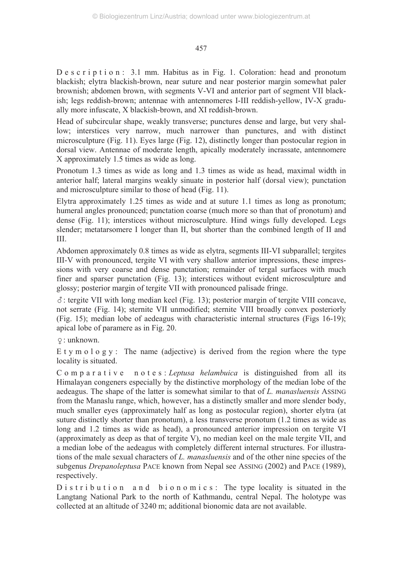D e s c r i p t i o n : 3.1 mm. Habitus as in Fig. 1. Coloration: head and pronotum blackish; elytra blackish-brown, near suture and near posterior margin somewhat paler brownish; abdomen brown, with segments V-VI and anterior part of segment VII blackish; legs reddish-brown; antennae with antennomeres I-III reddish-yellow, IV-X gradually more infuscate, X blackish-brown, and XI reddish-brown.

Head of subcircular shape, weakly transverse; punctures dense and large, but very shallow; interstices very narrow, much narrower than punctures, and with distinct microsculpture (Fig. 11). Eyes large (Fig. 12), distinctly longer than postocular region in dorsal view. Antennae of moderate length, apically moderately incrassate, antennomere X approximately 1.5 times as wide as long.

Pronotum 1.3 times as wide as long and 1.3 times as wide as head, maximal width in anterior half; lateral margins weakly sinuate in posterior half (dorsal view); punctation and microsculpture similar to those of head (Fig. 11).

Elytra approximately 1.25 times as wide and at suture 1.1 times as long as pronotum; humeral angles pronounced; punctation coarse (much more so than that of pronotum) and dense (Fig. 11); interstices without microsculpture. Hind wings fully developed. Legs slender; metatarsomere I longer than II, but shorter than the combined length of II and III.

Abdomen approximately 0.8 times as wide as elytra, segments III-VI subparallel; tergites III-V with pronounced, tergite VI with very shallow anterior impressions, these impressions with very coarse and dense punctation; remainder of tergal surfaces with much finer and sparser punctation (Fig. 13); interstices without evident microsculpture and glossy; posterior margin of tergite VII with pronounced palisade fringe.

 $\delta$ : tergite VII with long median keel (Fig. 13); posterior margin of tergite VIII concave, not serrate (Fig. 14); sternite VII unmodified; sternite VIII broadly convex posteriorly (Fig. 15); median lobe of aedeagus with characteristic internal structures (Figs 16-19); apical lobe of paramere as in Fig. 20.

-: unknown.

E t y m o l o g y : The name (adjective) is derived from the region where the type locality is situated.

Comparative notes: *Leptusa helambuica* is distinguished from all its Himalayan congeners especially by the distinctive morphology of the median lobe of the aedeagus. The shape of the latter is somewhat similar to that of *L. manasluensis* ASSING from the Manaslu range, which, however, has a distinctly smaller and more slender body, much smaller eyes (approximately half as long as postocular region), shorter elytra (at suture distinctly shorter than pronotum), a less transverse pronotum (1.2 times as wide as long and 1.2 times as wide as head), a pronounced anterior impression on tergite VI (approximately as deep as that of tergite V), no median keel on the male tergite VII, and a median lobe of the aedeagus with completely different internal structures. For illustrations of the male sexual characters of *L. manasluensis* and of the other nine species of the subgenus *Drepanoleptusa* PACE known from Nepal see ASSING (2002) and PACE (1989), respectively.

D is tribution and bionomics: The type locality is situated in the Langtang National Park to the north of Kathmandu, central Nepal. The holotype was collected at an altitude of 3240 m; additional bionomic data are not available.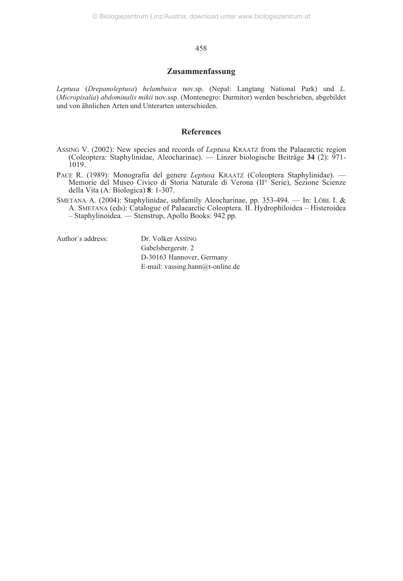#### **Zusammenfassung**

*Leptusa* (*Drepanoleptusa*) *helambuica* nov.sp. (Nepal: Langtang National Park) und *L.* (*Micropisalia*) *abdominalis mikii* nov.ssp. (Montenegro: Durmitor) werden beschrieben, abgebildet und von ähnlichen Arten und Unterarten unterschieden.

#### **References**

- ASSING V. (2002): New species and records of *Leptusa* KRAATZ from the Palaearctic region (Coleoptera: Staphylinidae, Aleocharinae). — Linzer biologische Beiträge **34** (2): 971- 1019.
- PACE R. (1989): Monografia del genere *Leptusa* KRAATZ (Coleoptera Staphylinidae). Memorie del Museo Civico di Storia Naturale di Verona (II° Serie), Sezione Scienze della Vita (A: Biologica) **8**: 1-307.
- SMETANA A. (2004): Staphylinidae, subfamily Aleocharinae, pp. 353-494. In: LÖBL I. & A. SMETANA (eds): Catalogue of Palaearctic Coleoptera. II. Hydrophiloidea – Histeroidea – Staphylinoidea. — Stenstrup, Apollo Books: 942 pp.

Author´s address: Dr. Volker ASSING

Gabelsbergerstr. 2 D-30163 Hannover, Germany E-mail: vassing.hann@t-online.de